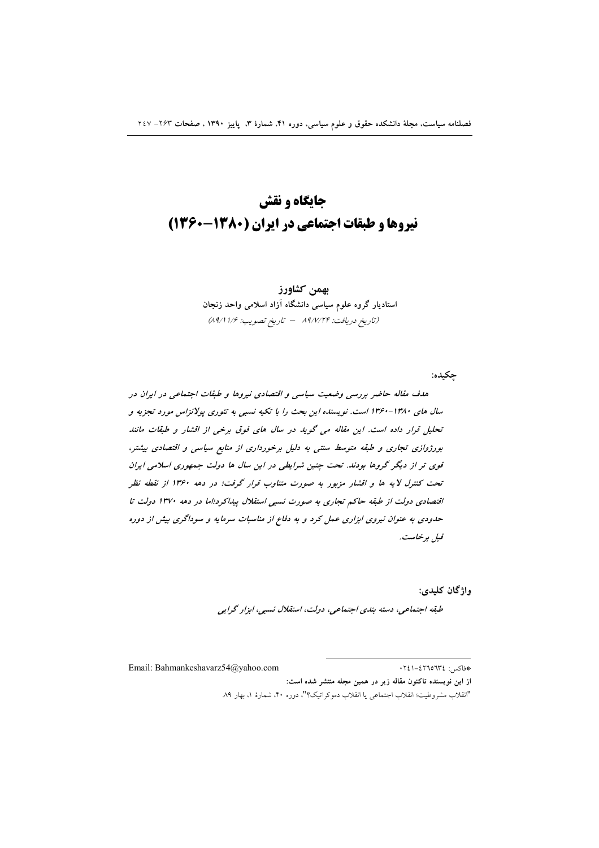# جایگاه و نقش نیروها و طبقات اجتماعی در ایران (۱۳۸۰-۱۳۶۰)

بهمن كشاورز استادیار گروه علوم سیاسی دانشگاه آزاد اسلامی واحد زنجان (تاريخ دريافت: ۸۹/۷/۲۴ - تاريخ تصويب: ۸۹/۱۱/۶)

چکيده:

هدف مقاله حاضر بررسی وضعیت سیاسی و اقتصادی نیروها و طبقات اجتماعی در ایران در سال های ۱۳۸۰-۱۳۶۰ است. نویسنده این بحث را با تکیه نسبی به تئوری پولانزاس مورد تجزیه و تحلیل قرار داده است. این مقاله می گوید در سال های فوق برخی از اقشار و طبقات مانند بورژوازی تجاری و طبقه متوسط سنتی به دلیل برخورداری از منابع سیاسی و اقتصادی بیشتر، قوی تر از دیگر گروها بودند. تحت چنین شرایطی در این سال ها دولت جمهوری اسلامی ایران تحت کنترل لایه ها و اقشار مزبور به صورت متناوب قرار گرفت؛ در دهه ۱۳۶۰ از نقطه نظر اقتصادی دولت از طبقه حاکم تجاری به صورت نسبی استقلال پیداکرد؛اما در دهه ۱۳۷۰ دولت تا حدودی به عنوان نیروی ابزاری عمل کرد و به دفاع از مناسبات سرمایه و سوداگری بیش از دوره قېل برخاست.

واژگان کليدي:

طبقه اجتماعی، دسته بندی اجتماعی، دولت، استقلال نسبی، ابزار گرایی

Email: Bahmankeshavarz54@yahoo.com

\*فاكس: ١٤٢٦٥٦٣٤-٢٤١

از این نویسنده تاکنون مقاله زیر در همین مجله منتشر شده است:

"انقلاب مشروطيت؛ انقلاب اجتماعي يا انقلاب دموكراتيك؟"، دوره ۴۰، شمارة ١، بهار ٨٩.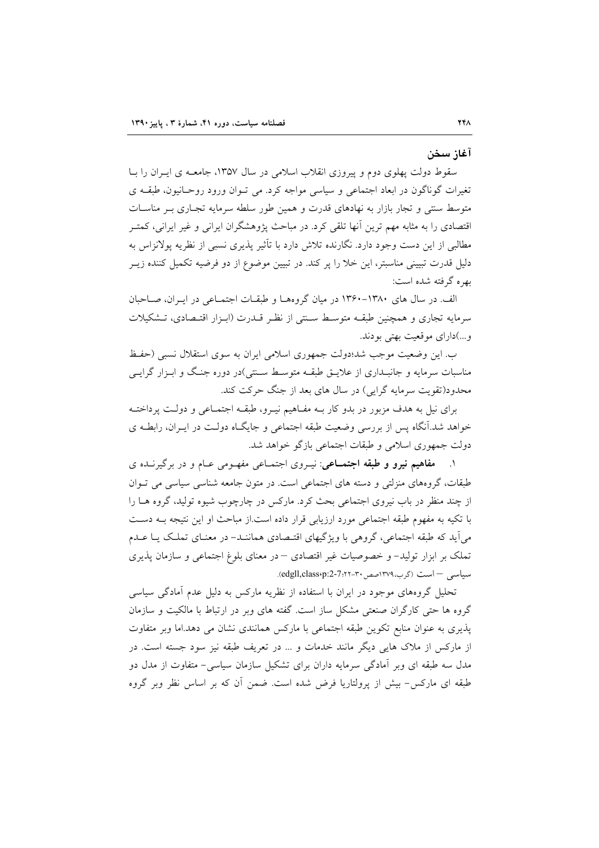آغاز سخن

سقوط دولت یهلوی دوم و پیروزی انقلاب اسلامی در سال ۱۳۵۷، جامعــه ی ایــران را بــا تغیرات گوناگون در ابعاد اجتماعی و سیاسی مواجه کرد. می تـوان ورود روحـانیون، طبقــه ی متوسط سنتی و تجار بازار به نهادهای قدرت و همین طور سلطه سرمایه تجـاری بـر مناسـات اقتصادی را به مثابه مهم ترین آنها تلقی کرد. در مباحث یژوهشگران ایرانی و غیر ایرانی، کمتـر مطالبی از این دست وجود دارد. نگارنده تلاش دارد با تأثیر پذیری نسبی از نظریه پولانزاس به دلیل قدرت تبیینی مناسبتر، این خلا را پر کند. در تبیین موضوع از دو فرضیه تکمیل کننده زیــر بهره گرفته شده است:

الف. در سال های ۱۳۸۰-۱۳۶۰ در میان گروههـا و طبقـات اجتمـاعی در ایـران، صـاحبان سرمایه تجاری و همچنین طبقـه متوسـط سـنتی از نظـر قــدرت (ابـزار اقتــصادی، تــشکیلات و...)داراي موقعيت بهتي بودند.

ب. این وضعیت موجب شد؛دولت جمهوری اسلامی ایران به سوی استقلال نسبی (حفظ مناسبات سرمایه و جانبـداری از علایــق طبقــه متوســط ســنتی)در دوره جنـگ و ابـزار گرایــی محدود(تقویت سرمایه گرایی) در سال های بعد از جنگ حرکت کند.

برای نیل به هدف مزبور در بدو کار بـه مفـاهیم نیـرو، طبقـه اجتمـاعی و دولـت پرداختـه خواهد شد.آنگاه پس از بررسی وضعیت طبقه اجتماعی و جایگاه دولت در ایـران، رابطـه ی دولت جمهوري اسلامي و طبقات اجتماعي بازگو خواهد شد.

مفاهیم نیرو و طبقه اجتماعی: نیروی اجتماعی مفهومی عبام و در برگیرنـده ی طبقات، گروههای منزلتی و دسته های اجتماعی است. در متون جامعه شناسی سیاسی می توان از چند منظر در باب نیروی اجتماعی بحث کرد. مارکس در چارچوب شیوه تولید، گروه هــا را با تکیه به مفهوم طبقه اجتماعی مورد ارزیابی قرار داده است.از مباحث او این نتیجه بـه دسـت می آید که طبقه اجتماعی، گروهی با ویژگیهای اقتـصادی هماننـد- در معنـای تملـک یـا عـدم تملک بر ابزار تولید– و خصوصیات غیر اقتصادی – در معنای بلوغ اجتماعی و سازمان پذیری سیاسی – است (گرب،١٣٧٩صص ٣٠-٢٢٢٢-edgll,class).

تحلیل گروههای موجود در ایران با استفاده از نظریه مارکس به دلیل عدم آمادگی سیاسی گروه ها حتی کارگران صنعتی مشکل ساز است. گفته های وبر در ارتباط با مالکیت و سازمان پذیری به عنوان منابع تکوین طبقه اجتماعی با مارکس همانندی نشان می دهد.اما وبر متفاوت از مارکس از ملاک هایی دیگر مانند خدمات و … در تعریف طبقه نیز سود جسته است. در مدل سه طبقه ای وبر آمادگی سرمایه داران برای تشکیل سازمان سیاسی- متفاوت از مدل دو طبقه ای مارکس- بیش از پرولتاریا فرض شده است. ضمن أن که بر اساس نظر وبر گروه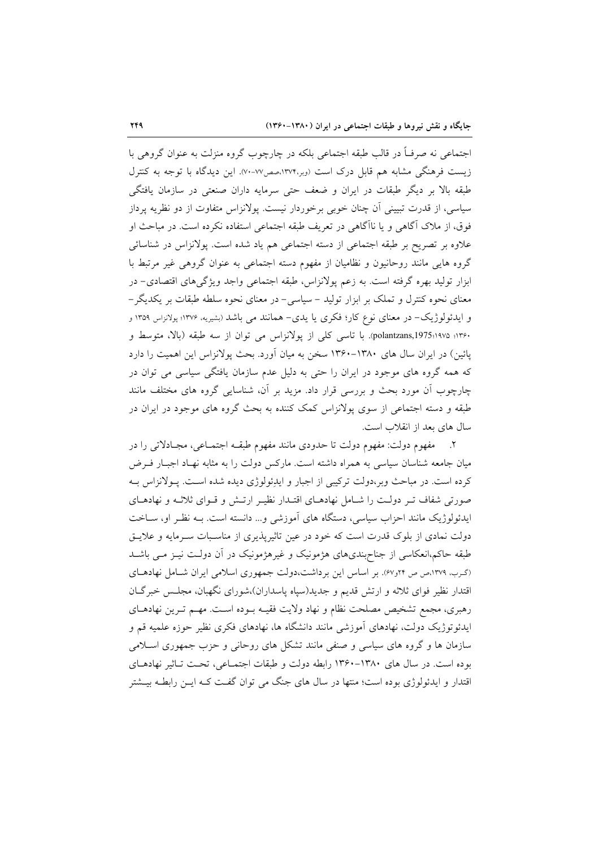اجتماعی نه صرفـاً در قالب طبقه اجتماعی بلکه در چارچوب گروه منزلت به عنوان گروهی با زیست فرهنگی مشابه هم قابل درک است (وبر،۱۳۷۴،صص۷۷-۷۰). این دیدگاه با توجه به کنترل طبقه بالا بر دیگر طبقات در ایران و ضعف حتی سرمایه داران صنعتی در سازمان یافتگی سیاسی، از قدرت تبیینی آن چنان خوبی برخوردار نیست. پولانزاس متفاوت از دو نظریه پرداز فوق، از ملاک آگاهی و یا ناآگاهی در تعریف طبقه اجتماعی استفاده نکرده است. در مباحث او علاوه بر تصریح بر طبقه اجتماعی از دسته اجتماعی هم یاد شده است. پولانزاس در شناسائی گروه هایی مانند روحانیون و نظامیان از مفهوم دسته اجتماعی به عنوان گروهی غیر مرتبط با ابزار تولید بهره گرفته است. به زعم پولانزاس، طبقه اجتماعی واجد ویژگیهای اقتصادی– در معنای نحوه کنترل و تملک بر ابزار تولید – سیاسی- در معنای نحوه سلطه طبقات بر یکدیگر– و ایدئولوژیک– در معنای نوع کار؛ فکری یا یدی– همانند می باشد (بشیریه، ۱۳۷۶؛ پولانزاس ۱۳۵۹ و ۱۳۶۰؛ polantzans,1975:۱۹۷۵). با تاسی کلی از یولانزاس می توان از سه طبقه (بالا، متوسط و پائین) در ایران سال های ۱۳۸۰–۱۳۶۰ سخن به میان آورد. بحث پولانزاس این اهمیت را دارد که همه گروه های موجود در ایران را حتی به دلیل عدم سازمان یافتگی سیاسی می توان در چارچوب آن مورد بحث و بررسی قرار داد. مزید بر آن، شناسایی گروه های مختلف مانند طبقه و دسته اجتماعی از سوی پولانزاس کمک کننده به بحث گروه های موجود در ایران در سال های بعد از انقلاب است.

۲. مفهوم دولت: مفهوم دولت تا حدودي مانند مفهوم طبقـه اجتمـاعي، مجـادلاتي را در میان جامعه شناسان سیاسی به همراه داشته است. مارکس دولت را به مثابه نهـاد اجبـار فـرض کرده است. در مباحث وبر،دولت ترکیبی از اجبار و ایدِئولوژی دیده شده است. پـولانزاس بـه صورتی شفاف تـر دولـت را شـامل نهادهـای اقتـدار نظيـر ارتـش و قـوای ثلاثـه و نهادهـای ایدئولوژیک مانند احزاب سیاسی، دستگاه های آموزشی و... دانسته است. بـه نظـر او، ســاخت دولت نمادی از بلوک قدرت است که خود در عین تاثیرپذیری از مناسبات سـرمایه و علایـق طبقه حاکم،انعکاسی از جناحبندیهای هژمونیک و غیرهژمونیک در آن دولت نیـز مـی باشــد (گرب، ١٣٧٩،ص ص ٢٢و/٤). بر اساس اين برداشت،دولت جمهوري اسلامي ايران شـامل نهادهـاي اقتدار نظیر فوای ثلاثه و ارتش قدیم و جدید(سیاه پاسداران)،شورای نگهبان، مجلس خبرگـان رهبري، مجمع تشخيص مصلحت نظام و نهاد ولايت فقيـه بـوده اسـت. مهـم تـرين نهادهـاي ایدئوتوژیک دولت، نهادهای اَموزشی مانند دانشگاه ها، نهادهای فکری نظیر حوزه علمیه قم و سازمان ها و گروه های سیاسی و صنفی مانند تشکل های روحانی و حزب جمهوری اسـلامی بوده است. در سال های ۱۳۸۰–۱۳۶۰ رابطه دولت و طبقات اجتمـاعی، تحـت تـاثیر نهادهـای اقتدار و ایدئولوژی بوده است؛ منتها در سال های جنگ می توان گفت کـه ایــن رابطــه بیــشتر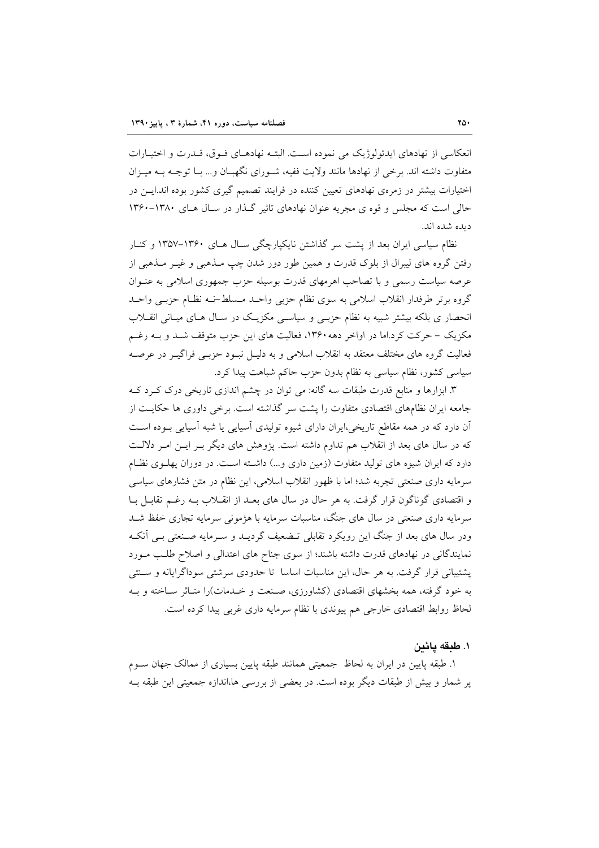انعکاسی از نهادهای ایدئولوژیک می نموده است. البتـه نهادهـای فـوق، قــدرت و اختیــارات متفاوت داشته اند. برخی از نهادها مانند ولایت ففیه، شـورای نگهبـان و… بـا توجـه بــه میــزان اختیارات بیشتر در زمرهی نهادهای تعیین کننده در فرایند تصمیم گیری کشور بوده اند.ایــن در حالي است كه مجلس و قوه ي مجريه عنوان نهادهاي تاثير گـذار در سـال هـاي ١٣٨٠-١٣۶٠ ديده شده اند.

نظام سیاسی ایران بعد از یشت سر گذاشتن نایکیارچگی سـال هـای ۱۳۶۰–۱۳۵۷ و کنـار رفتن گروه های لیبرال از بلوک قدرت و همین طور دور شدن چپ مــذهبی و غیــر مــذهبی از عرصه سیاست رسمی و با تصاحب اهرمهای قدرت بوسیله حزب جمهوری اسلامی به عنبوان گروه برتر طرفدار انقلاب اسلامی به سوی نظام حزبی واحـد مـسلط-نـه نظـام حزبـی واحـد انحصار ی بلکه بیشتر شبیه به نظام حزبـی و سیاسـی مکزیـک در سـال هـای میـانی انقــلاب مکزیک – حرکت کرد.اما در اواخر دهه ۱۳۶۰، فعالیت های این حزب متوقف شـد و بـه رغـم فعالیت گروه های مختلف معتقد به انقلاب اسلامی و به دلیـل نبـود حزبـی فراگیــر در عرصــه سیاسی کشور، نظام سیاسی به نظام بدون حزب حاکم شباهت پیدا کرد.

۳. ابزارها و منابع قدرت طبقات سه گانه: می توان در چشم اندازی تاریخی درک کـرد کـه جامعه ایران نظامهای اقتصادی متفاوت را پشت سر گذاشته است. برخی داوری ها حکایـت از آن دارد که در همه مقاطع تاریخی،ایران دارای شیوه تولیدی آسیایی یا شبه آسیایی بـوده اسـت که در سال های بعد از انقلاب هم تداوم داشته است. پژوهش های دیگر بـر ایـن امـر دلالـت دارد که ایران شیوه های تولید متفاوت (زمین داری و...) داشته است. در دوران پهلـوی نظـام سرمایه داری صنعتی تجربه شد؛ اما با ظهور انقلاب اسلامی، این نظام در متن فشارهای سیاسی و اقتصادی گوناگون قرار گرفت. به هر حال در سال های بعـد از انقـلاب بـه رغـم تقابـل بـا سرمایه داری صنعتی در سال های جنگ، مناسبات سرمایه با هژمونی سرمایه تجاری خفظ شـد ودر سال های بعد از جنگ این رویکرد تقابلی تـضعیف گردیــد و ســرمایه صــنعتی بــی آنکــه نمایندگانی در نهادهای قدرت داشته باشند؛ از سوی جناح های اعتدالی و اصلاح طلب مـورد پشتیبانی قرار گرفت. به هر حال، این مناسبات اساسا تا حدودی سرشتی سوداگرایانه و سـنتی به خود گرفته، همه بخشهای اقتصادی (کشاورزی، صنعت و خـدمات)را متـاثر سـاخته و بـه لحاظ روابط اقتصادی خارجی هم پیوندی با نظام سرمایه داری غربی پیدا کرده است.

## ١. طبقه يائين

۱. طبقه پایین در ایران به لحاظ ً جمعیتی همانند طبقه پایین بسیاری از ممالک جهان سـوم یر شمار و بیش از طبقات دیگر بوده است. در بعضی از بررسی ها،اندازه جمعیتی این طبقه ب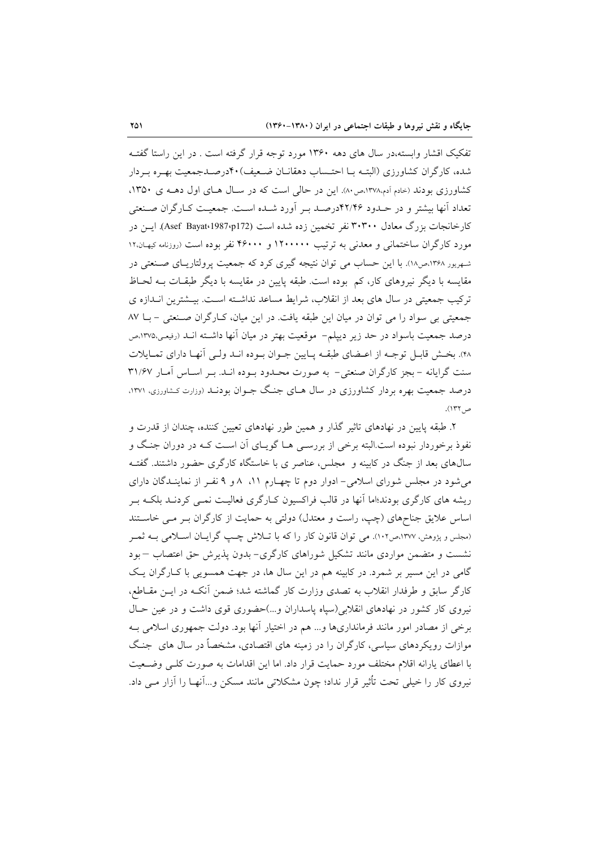تفکیک اقشار وابسته،در سال های دهه ۱۳۶۰ مورد توجه قرار گرفته است . در این راستا گفتـه شده، کار گران کشاورزی (البته با احتـساب دهقانـان ضـعیف) ۴۰درصـدجمعیت بهـره بـردار کشاورزی بودند (خادم آدم،۱۳۷۸،ص۸۰). این در حالی است که در سال هـای اول دهـه ی ۱۳۵۰، تعداد أنها بیشتر و در حـدود ۴۲/۴۶درصـد بـر آورد شـده اسـت. جمعیـت کـارگران صـنعتی کارخانجات بزرگ معادل ۳۰۳۰۰ نفر تخمین زده شده است (Asef Bayat،1987،p172). ایــن در مورد کارگران ساختمانی و معدنی به ترتیب ۱۲۰۰۰۰۰ و ۴۶۰۰۰ نفر بوده است (روزنامه کیهان۱۲ شهریور ۱۳۶۸،ص۱۸). با این حساب می توان نتیجه گیری کرد که جمعیت پرولتاریـای صـنعتی در مقایسه با دیگر نیروهای کار، کم بوده است. طبقه پایین در مقایسه با دیگر طبقــات بــه لحــاظ ترکیب جمعیتی در سال های بعد از انقلاب، شرایط مساعد نداشته است. بیــشترین انــدازه ی جمعیتی بی سواد را می توان در میان این طبقه یافت. در این میان، کـارگران صـنعتی - بــا ۸۷ درصد جمعیت باسواد در حد زیر دیپلم– موقعیت بهتر در میان آنها داشـته انـد (رفیعی،۱۳۷۵م ۴۸). بخش قابل توجـه از اعـضاي طبقـه پـايين جـوان بـوده انـد ولـي أنهـا داراي تمـايلات سنت گرایانه - بجز کارگران صنعتی- به صورت محـدود بـوده انـد. بـر اسـاس آمـار ۳۱/۶۷ درصد جمعیت بهره بردار کشاورزی در سال هـای جنـگ جـوان بودنــد (وزارت کـشاورزی، ۱۳۷۱. ص ١٣٢).

۲. طبقه پایین در نهادهای تاثیر گذار و همین طور نهادهای تعیین کننده، چندان از قدرت و نفوذ برخوردار نبوده است.البته برخی از بررسـی هـا گویـای آن اسـت کـه در دوران جنـگ و سال@ای بعد از جنگ در کابینه و مجلس، عناصر ی با خاستگاه کارگری حضور داشتند. گفتـه می شود در مجلس شورای اسلامی- ادوار دوم تا چهـارم ۱۱، ۸و ۹ نفـر از نماینـدگان دارای ریشه های کارگری بودند؛اما آنها در قالب فراکسیون کـارگری فعالیـت نمـی کردنـد بلکـه بـر اساس علایق جناحهای (چپ، راست و معتدل) دولتی به حمایت از کارگران بـر مـی خاسـتند (مجلس و پژوهش، ۱۳۷۷،ص۱۰۲). می توان قانون کار را که با تبلاش چیپ گراییان اسپلامی بیه ثمیر نشست و متضمن مواردی مانند تشکیل شوراهای کارگری-بدون پذیرش حق اعتصاب –بود گامی در این مسیر بر شمرد. در کابینه هم در این سال ها، در جهت همسویی با کـارگران یـک کارگر سابق و طرفدار انقلاب به تصدی وزارت کار گماشته شد؛ ضمن آنکـه در ایــن مقــاطع، نیروی کار کشور در نهادهای انقلابی(سپاه پاسداران و...)حضوری قوی داشت و در عین حـال برخی از مصادر امور مانند فرمانداریها و... هم در اختیار آنها بود. دولت جمهوری اسلامی بـه موازات رویکردهای سیاسی، کارگران را در زمینه های اقتصادی، مشخصاً در سال های جنگ با اعطای پارانه اقلام مختلف مورد حمایت قرار داد. اما این اقدامات به صورت کلبی وضعیت نیروی کار را خیلی تحت تأثیر قرار نداد؛ چون مشکلاتی مانند مسکن و…آنهـا را آزار مـی داد.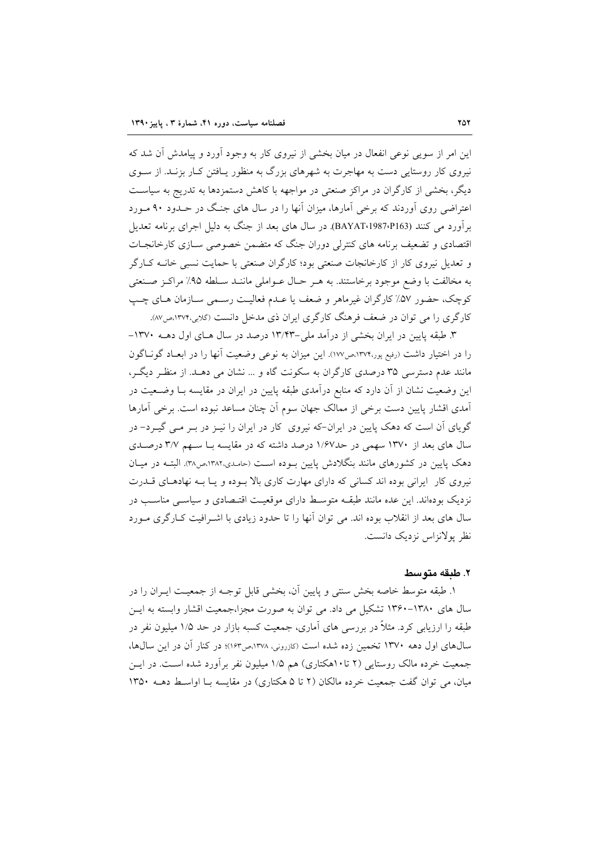این امر از سویی نوعی انفعال در میان بخشی از نیروی کار به وجود آورد و پیامدش آن شد که نیروی کار روستایی دست به مهاجرت به شهرهای بزرگ به منظور پـافتن کـار بزنـد. از سـوی دیگر، بخشی از کارگران در مراکز صنعتی در مواجهه با کاهش دستمزدها به تدریج به سیاست اعتراضی روی آوردند که برخی آمارها، میزان آنها را در سال های جنگ در حـدود ۹۰ مـورد برآورد می کنند (BAYAT،1987،P163). در سال های بعد از جنگ به دلیل اجرای برنامه تعدیل اقتصادی و تضعیف برنامه های کنترلی دوران جنگ که متضمن خصوصی سـازی کارخانجـات و تعدیل نیروی کار از کارخانجات صنعتی بود؛ کارگران صنعتی با حمایت نسبی خانــه کــارگر به مخالفت با وضع موجود برخاستند. به هـر حـال عـواملي ماننــد ســلطه ۹۵٪ مراكـز صــنعتي كوچک، حضور ۵۷٪ كارگران غيرماهر و ضعف يا عـدم فعاليـت رسـمي سـازمان هـاي چـب کارگری را می توان در ضعف فرهنگ کارگری ایران ذی مدخل دانست (گلابی،۱۳۷۴،ص۸۷.

۳. طبقه پایین در ایران بخشی از درآمد ملی-۱۳/۴۳ درصد در سال هـای اول دهــه ۱۳۷۰– را در اختیار داشت (رفیع پور،۱۳۷۴،ص۱۷۷). این میزان به نوعی وضعیت آنها را در ابعـاد گونــاگون مانند عدم دسترسی ۳۵ درصدی کارگران به سکونت گاه و … نشان می دهـد. از منظـر دیگـر، این وضعیت نشان از آن دارد که منابع درآمدی طبقه پایین در ایران در مقایسه بـا وضـعیت در آمدی اقشار پایین دست برخی از ممالک جهان سوم آن چنان مساعد نبوده است. برخی آمارها گویای آن است که دهک پایین در ایران-که نیروی کار در ایران را نیـز در بـر مـی گیـرد- در سال های بعد از ۱۳۷۰ سهمی در حد۱٬۶۷ درصد داشته که در مقایسه بـا سـهم ۳/۷ درصـدی دهک پایین در کشورهای مانند بنگلادش پایین بوده است (حامدی،۱۳۸۲،ص۳۸). البتـه در میـان نیروی کار ایرانی بوده اند کسانی که دارای مهارت کاری بالا بیوده و پیا بیه نهادهیای قیدرت نزدیک بودهاند. این عده مانند طبقــه متوسـط دارای موقعیـت اقتـصادی و سیاســی مناســب در سال های بعد از انقلاب بوده اند. می توان آنها را تا حدود زیادی با اشـرافیت کـارگری مـورد نظر بولانزاس نزدیک دانست.

### ٢. طبقه متوسط

١. طبقه متوسط خاصه بخش سنتي و پايين آن، بخشي قابل توجـه از جمعيـت ايــران را در سال های ۱۳۸۰-۱۳۶۰ تشکیل می داد. می توان به صورت مجزا،جمعیت اقشار وابسته به ایس طبقه را ارزیابی کرد. مثلاً در بررسی های آماری، جمعیت کسبه بازار در حد ۱/۵ میلیون نفر در سال های اول دهه ۱۳۷۰ تخمین زده شده است (کازرونی، ۱۳۷۸،ص۱۶۳)؛ در کنار آن در این سال ها، جمعیت خرده مالک روستایی (۲ تا۱۰هکتاری) هم ۱/۵ میلیون نفر برآورد شده اسـت. در ایــن میان، می توان گفت جمعیت خرده مالکان (۲ تا ۵ هکتاری) در مقایسه با اواسط دهــه ۱۳۵۰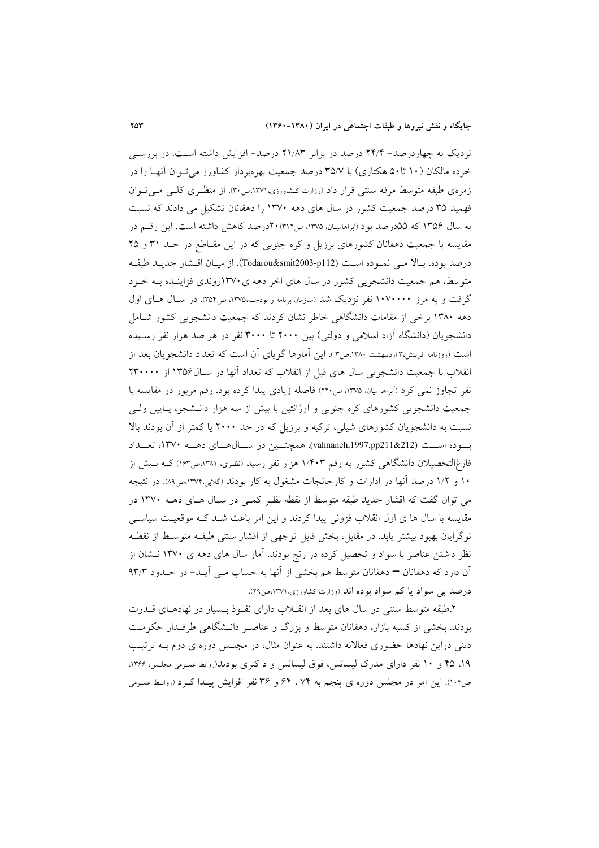نزدیک به چهاردرصد– ۲۴/۴ درصد در برابر ۲۱/۸۳ درصد– افزایش داشته است. در بررسی خرده مالکان (۱۰ تا۵۰ هکتاری) با ۳۵/۷ درصد جمعیت بهرهبردار کشاورز می تـوان آنهـا را در زمرهی طبقه متوسط مرفه سنتی قرار داد (وزارت کشاورزی،۱۳۷۱،ص۳۰. از منظری کلبی می توان فهمید ۳۵ درصد جمعیت کشور در سال های دهه ۱۳۷۰ را دهقانان تشکیل می دادند که نسبت به سال ۱۳۵۶ که ۵۵درصد بود (ابراهامیان، ۱۳۷۵، ص۳۱۲) ۲۰درصد کاهش داشته است. این رقم در مقایسه با جمعیت دهقانان کشورهای برزیل و کره جنوبی که در این مقـاطع در حـد ۳۱ و ۲۵ درصد بوده، بـالا مـي نمـوده اسـت (podarou&smit2003-p112). از ميـان اقـشار جديـد طبقـه متوسط، هم جمعیت دانشجویی کشور در سال های اخر دهه ی ۱۳۷۰روندی فزاینـده بـه خـود گرفت و به مرز ۱۰۷۰۰۰۰ نفر نزدیک شد (سازمان برنامه و بودجـه،۱۳۷۵، ص۳۵۴). در سـال هـای اول دهه ۱۳۸۰ برخی از مقامات دانشگاهی خاطر نشان کردند که جمعیت دانشجویی کشور شـامل دانشجویان (دانشگاه آزاد اسلامی و دولتی) بین ۲۰۰۰ تا ۳۰۰۰ نفر در هر صد هزار نفر رسـیده است (روزنامه افرینش،۳ اردیبهشت ۱۳۸۰،ص۳). این آمارها گویای آن است که تعداد دانشجویان بعد از انقلاب با جمعیت دانشجویی سال های قبل از انقلاب که تعداد آنها در سـال۱۳۵۶ از ۲۳۰۰۰۰ نفر تجاوز نمی کرد (آبراها میان، ۱۳۷۵، ص۲۲۰) فاصله زیادی پیدا کرده بود. رقم مربور در مقایسه با جمعیت دانشجویی کشورهای کره جنوبی و آرژانتین با بیش از سه هزار دانـشجو، پـایین ولـی نسبت به دانشجویان کشورهای شیلی، ترکیه و برزیل که در حد ۲۰۰۰ یا کمتر از آن بودند بالا بسوده اســت (vahnaneh,1997,pp211&212). همچنــين در ســال۵هــاي دهـــه ۱۳۷۰، تعــداد فارغ|لتحصیلان دانشگاهی کشور به رقم ۱/۴۰۳ هزار نفر رسید (نظری، ۱۳۸۱،ص۱۶۳) کـه بـیش از ۱۰ و ۱/۲ درصد آنها در ادارات و کارخانجات مشغول به کار بودند (گلابی،۱۳۷۴،ص۸۹). در نتیجه می توان گفت که اقشار جدید طبقه متوسط از نقطه نظـر کمـی در سـال هـای دهــه ۱۳۷۰ در مقایسه با سال ها ی اول انقلاب فزونی پیدا کردند و این امر باعث شـد کـه موقعیـت سیاسـی نوگرایان بهبود بیشتر یابد. در مقابل، بخش قابل توجهی از اقشار سنتی طبقـه متوسـط از نقطـه نظر داشتن عناصر با سواد و تحصیل کرده در رنج بودند. آمار سال های دهه ی ۱۳۷۰ نـشان از آن دارد که دهقانان – دهقانان متوسط هم بخشی از آنها به حساب مـی آیــد- در حــدود ۹۳/۳ درصد ہے سواد یا کم سواد ہو دہ اند (وزارت کشاورزی، ۱۳۷۱،ص ۲۹).

۲.طبقه متوسط سنتی در سال های بعد از انقـلاب دارای نفـوذ بـسیار در نهادهـای قــدرت بودند. بخشی از کسبه بازار، دهقانان متوسط و بزرگ و عناصر دانـشگاهی طرفـدار حکومـت دینی دراین نهادها حضوری فعالانه داشتند. به عنوان مثال، در مجلـس دوره ی دوم بــه ترتیـب ۱۹، ۴۵ و ۱۰ نفر دارای مدرک لیسانس، فوق لیسانس و د کتری بودند(روابط عمـومی مجلـس، ۱۳۶۶، ص١٠۴). این امر در مجلس دوره ی پنجم به ٧۴، ۶۴ و ٣۶ نفر افزایش پیدا کـرد (روابط عمـومی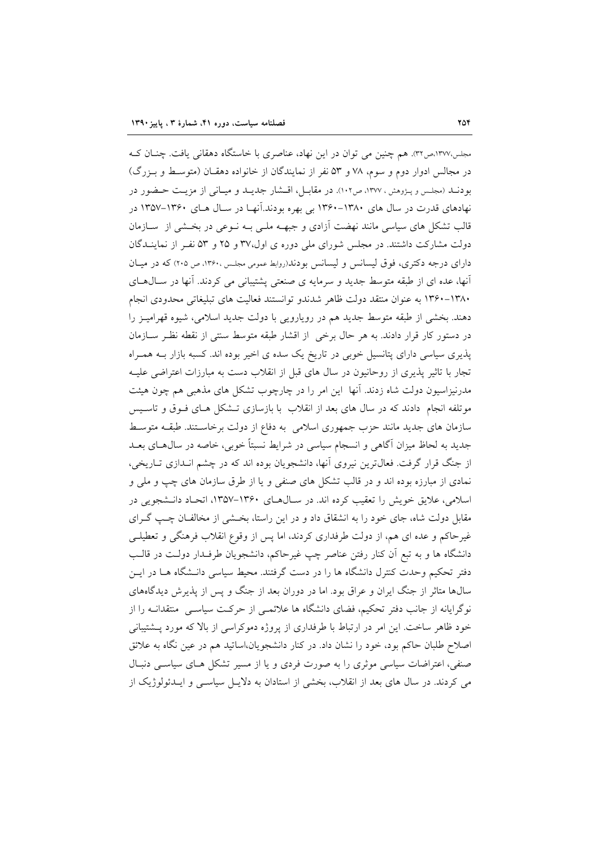مجلس،۱۳۷۷،ص۳۲. هم چنین می توان در این نهاد، عناصری با خاستگاه دهقانی یافت. چنـان کـه در مجالس ادوار دوم و سوم، ۷۸ و ۵۳ نفر از نمایندگان از خانواده دهقـان (متوسـط و بـزرگ) بودنــد (مجلـس و پــژوهش ، ١٣٧٧، ص١٠٢). در مقابــل، اقــشار جديــد و ميــانـي از مزيــت حــضور در نهادهای قدرت در سال های ۱۳۸۰–۱۳۶۰ بی بهره بودند.آنهـا در سـال هـای ۱۳۶۰–۱۳۵۷ در قالب تشکل های سیاسی مانند نهضت آزادی و جبهــه ملــی بــه نــوعی در بخــشی از ســازمان دولت مشارکت داشتند. در مجلس شورای ملی دوره ی اول،۳۷ و ۲۵ و ۵۳ نفر از نماینـدگان دارای درجه دکتری، فوق لیسانس و لیسانس بودند(روابط عمومی مجلس ،۱۳۶۰، ص ۲۰۵) که در میبان أنها، عده ای از طبقه متوسط جدید و سرمایه ی صنعتی پشتیبانی می کردند. آنها در سال های ۱۳۸۰-۱۳۶۰ به عنوان منتقد دولت ظاهر شدندو توانستند فعالیت های تبلیغاتی محدودی انجام دهند. بخشی از طبقه متوسط جدید هم در رویارویی با دولت جدید اسلامی، شیوه قهرامیـز را در دستور کار قرار دادند. به هر حال برخی از اقشار طبقه متوسط سنتی از نقطه نظـر ســازمان پذیری سیاسی دارای پتانسیل خوبی در تاریخ یک سده ی اخیر بوده اند. کسبه بازار بــه همــراه تجار با تاثیر پذیری از روحانیون در سال های قبل از انقلاب دست به مبارزات اعتراضی علیـه مدرنیزاسیون دولت شاه زدند. آنها این امر را در چارچوب تشکل های مذهبی هم چون هیئت موتلفه انجام دادند که در سال های بعد از انقلاب با بازسازی تـشکل هـای فـوق و تاسـيس سازمان های جدید مانند حزب جمهوری اسلامی به دفاع از دولت برخاستند. طبقـه متوسـط جدید به لحاظ میزان آگاهی و انسجام سیاسی در شرایط نسبتاً خوبی، خاصه در سال۵حای بعــد از جنگ قرار گرفت. فعالترین نیروی آنها، دانشجویان بوده اند که در چشم انـدازی تـاریخی، نمادی از مبارزه بوده اند و در قالب تشکل های صنفی و یا از طرق سازمان های چپ و ملی و اسلامی، علایق خویش را تعقیب کرده اند. در سال های ۱۳۶۰-۱۳۵۷، اتحاد دانـشجویی در مقابل دولت شاه، جای خود را به انشقاق داد و در این راستا، بخـشی از مخالفـان چـب گـرای غیرحاکم و عده ای هم، از دولت طرفداری کردند، اما پس از وقوع انقلاب فرهنگی و تعطیلـی دانشگاه ها و به تبع آن کنار رفتن عناصر چپ غیرحاکم، دانشجویان طرفـدار دولـت در قالـب دفتر تحکیم وحدت کنترل دانشگاه ها را در دست گرفتند. محیط سیاسی دانـشگاه هــا در ایــن سالها متاثر از جنگ ایران و عراق بود. اما در دوران بعد از جنگ و پس از پذیرش دیدگاههای نوگرایانه از جانب دفتر تحکیم، فضای دانشگاه ها علائمـی از حرکـت سیاسـی ِ منتقدانــه را از خود ظاهر ساخت. این امر در ارتباط با طرفداری از پروژه دموکراسی از بالا که مورد پـشتیبانی اصلاح طلبان حاکم بود، خود را نشان داد. در کنار دانشجویان،اساتید هم در عین نگاه به علائق صنفی، اعتراضات سیاسی موثری را به صورت فردی و یا از مسیر تشکل هـای سیاسـی دنبـال می کردند. در سال های بعد از انقلاب، بخشی از استادان به دلایـل سیاسـی و ایــدئولوژیک از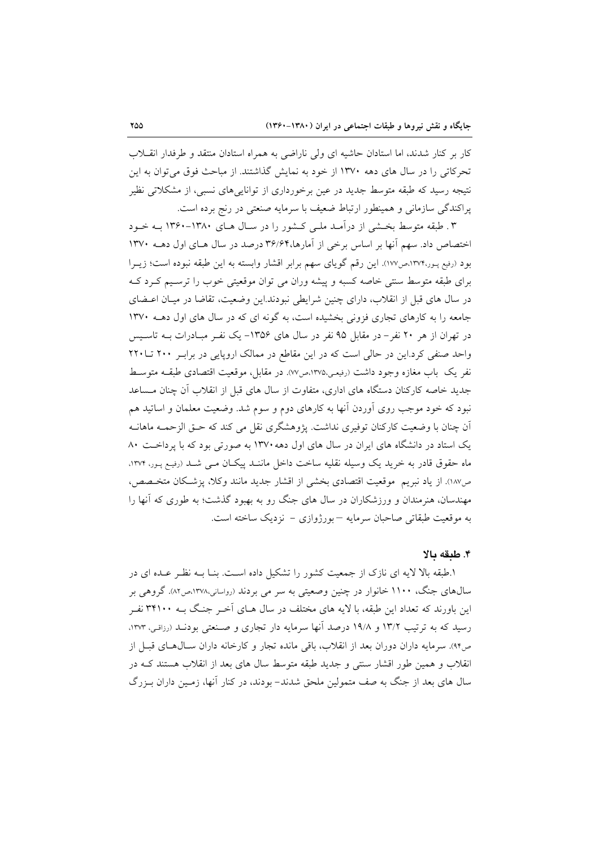کار بر کنار شدند، اما استادان حاشیه ای ولی ناراضی به همراه استادان منتقد و طرفدار انقلاب تحرکاتی را در سال های دهه ۱۳۷۰ از خود به نمایش گذاشتند. از مباحث فوق می توان به این نتیجه رسید که طبقه متوسط جدید در عین برخورداری از توانایی های نسبی، از مشکلاتی نظیر یراکندگی سازمانی و همینطور ارتباط ضعیف با سرمایه صنعتی در رنج برده است.

۳. طبقه متوسط بخشی از درآمـد ملـی کـشور را در سـال هـای ۱۳۸۰-۱۳۶۰ بـه خـود اختصاص داد. سهم آنها بر اساس برخی از آمارها،۳۶/۶۴ درصد در سال هـای اول دهــه ۱۳۷۰ بود (رفيع پـور،١٣٧٢هـي١٧٧). اين رقم گوياي سهم برابر اقشار وابسته به اين طبقه نبوده است؛ زيـرا برای طبقه متوسط سنتی خاصه کسبه و پیشه وران می توان موقعیتی خوب را ترسـیم کـرد کـه در سال های قبل از انقلاب، دارای چنین شرایطی نبودند.این وضعیت، تقاضا در میـان اعــضای جامعه را به کارهای تجاری فزونی بخشیده است، به گونه ای که در سال های اول دهـه ١٣٧٠ در تهران از هر ۲۰ نفر – در مقابل ۹۵ نفر در سال های ۱۳۵۶– یک نفـر مبـادرات بــه تاسـیس واحد صنفی کرد.این در حالی است که در این مقاطع در ممالک اروپایی در برابر ۲۰۰ تا۲۲۰ نفر یک باب مغازه وجود داشت (رفیعی،۱۳۷۵،ص۷۷). در مقابل، موقعیت اقتصادی طبقـه متوسـط جدید خاصه کارکنان دستگاه های اداری، متفاوت از سال های قبل از انقلاب آن چنان مـساعد نبود که خود موجب روی اَوردن آنها به کارهای دوم و سوم شد. وضعیت معلمان و اساتید هم اّن چنان با وضعیت کارکنان توفیری نداشت. یژوهشگری نقل می کند که حـق الزحمــه ماهانــه یک استاد در دانشگاه های ایران در سال های اول دهه ۱۳۷۰ به صورتی بود که با پرداخت ۸۰ ماه حقوق قادر به خرید یک وسیله نقلیه ساخت داخل ماننـد پیکـان مـی شـد (رفیـع پـور، ۱۳۷۴، ص١٨٧). از ياد نبريم موقعيت اقتصادي بخشي از اقشار جديد مانند وكلا، يزشكان متخـصص، مهندسان، هنرمندان و ورزشکاران در سال های جنگ رو به بهبود گذشت؛ به طوری که آنها را به موقعیت طبقاتی صاحبان سرمایه – بورژوازی – نزدیک ساخته است.

#### ۴. طبقه بالا

۱.طبقه بالا لایه ای نازک از جمعیت کشور را تشکیل داده است. بنــا بــه نظــر عــده ای در سال@ای جنگ، ۱۱۰۰ خانوار در چنین وصعیتی به سر می بردند (رواسانی،۱۳۷۸،ص۸۲). گروهی بر این باورند که تعداد این طبقه، با لایه های مختلف در سال هـای آخـر جنـگ بــه ۳۴۱۰۰ نفـر رسید که به ترتیب ۱۳/۲ و ۱۹/۸ درصد آنها سرمایه دار تجاری و صنعتی بودنـد (رزاقـی، ۱۳۷۳. ص۴۴). سرمایه داران دوران بعد از انقلاب، باقی مانده تجار و کارخانه داران سـال۱هـای قبـل از انقلاب و همین طور اقشار سنتی و جدید طبقه متوسط سال های بعد از انقلاب هستند کـه در سال های بعد از جنگ به صف متمولین ملحق شدند- بودند، در کنار آنها، زمـین داران بـزرگ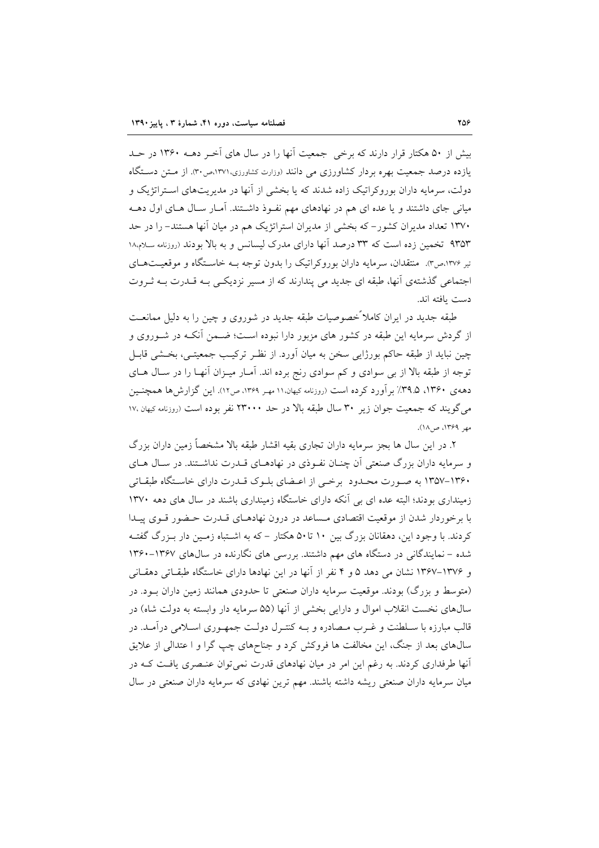بیش از ۵۰ هکتار قرار دارند که برخی جمعیت آنها را در سال های آخر دهــه ۱۳۶۰ در حــد یازده درصد جمعیت بهره بردار کشاورزی می دانند (وزارت کشاورزی،۱۳۷۱،ص۳۰). از متن دستگاه دولت، سرمایه داران بوروکراتیک زاده شدند که یا بخشی از آنها در مدیریتهای اسـتراتژیک و میانی جای داشتند و یا عده ای هم در نهادهای مهم نفـوِذ داشـتند. آمـار سـال هـای اول دهــه ۱۳۷۰ تعداد مدیران کشور– که بخشی از مدیران استراتژیک هم در میان آنها هستند- را در حد ۹۳۵۳ تخمین زده است که ۳۳ درصد آنها دارای مدرک لیسانس و به بالا بودند (روزنامه سلام۱۸ تیر ۱۳۷۶،ص۳. منتقدان، سرمایه داران بوروکراتیک را بدون توجه بـه خاسـتگاه و موقعیـتهـای اجتماعی گذشتهی آنها، طبقه ای جدید می پندارند که از مسیر نزدیکی بـه قـدرت بـه ثـروت دست ىافته اند.

طبقه جدید در ایران کاملاً خصوصیات طبقه جدید در شوروی و چین را به دلیل ممانعت از گردش سرمایه این طبقه در کشور های مزبور دارا نبوده است؛ ضـمن آنکـه در شـوروی و چین نباید از طبقه حاکم بورژایی سخن به میان آورد. از نظـر ترکیـب جمعیتـی، بخــشی قابـل توجه از طبقه بالا از بی سوادی و کم سوادی رنج برده اند. آمـار میـزان آنهـا را در سـال هـای دههی ۱۳۶۰، ۳۹.۵٪ برآورد کرده است (روزنامه کیهان،۱۱ مهـر ۱۳۶۹، ص۱۲). این گزارش۵ها همچنـین می گویند که جمعیت جوان زیر ۳۰ سال طبقه بالا در حد ۲۳۰۰۰ نفر بوده است (روزنامه کیهان ۱۷، مهر ۱۳۶۹، ص۱۸).

۲. در این سال ها بجز سرمایه داران تجاری بقیه اقشار طبقه بالا مشخصاً زمین داران بزرگ و سرمایه داران بزرگ صنعتی آن چنــان نفــوذی در نهادهــای قــدرت نداشــتند. در ســال هــای ۱۳۶۰–۱۳۵۷ به صورت محیدود برخبی از اعتضای بلیوک قیدرت دارای خاستگاه طبقیاتی زمینداری بودند؛ البته عده ای بی آنکه دارای خاستگاه زمینداری باشند در سال های دهه ۱۳۷۰ با برخوردار شدن از موقعیت اقتصادی مـساعد در درون نهادهـای قــدرت حـضور قــوی پیــدا کردند. با وجود این، دهقانان بزرگ بین ۱۰ تا۵۰ هکتار – که به اشـتباه زمـین دار بـزرگ گفتـه شده – نمایندگانی در دستگاه های مهم داشتند. بررسی های نگارنده در سال های ۱۳۶۷-۱۳۶۰ و ۱۳۷۶–۱۳۶۷ نشان می دهد ۵ و ۴ نفر از آنها در این نهادها دارای خاستگاه طبقـاتی دهقـانی (متوسط و یزرگ) بودند. موقعیت سرمایه داران صنعتی تا حدودی همانند زمین داران بود. در سال@ای نخست انقلاب اموال و دارایی بخشی از آنها (۵۵ سرمایه دار وابسته به دولت شاه) در قالب مبارزه با سـلطنت و غـرب مـصادره و بــه کنتـرل دولــت جمهـوری اســلامی درآمــد. در سال@ای بعد از جنگ، این مخالفت ها فروکش کرد و جناحهای چپ گرا و ا عتدالی از علایق آنها طرفداری کردند. به رغم این امر در میان نهادهای قدرت نمی توان عنـصری یافـت کـه در میان سرمایه داران صنعتی ریشه داشته باشند. مهم ترین نهادی که سرمایه داران صنعتی در سال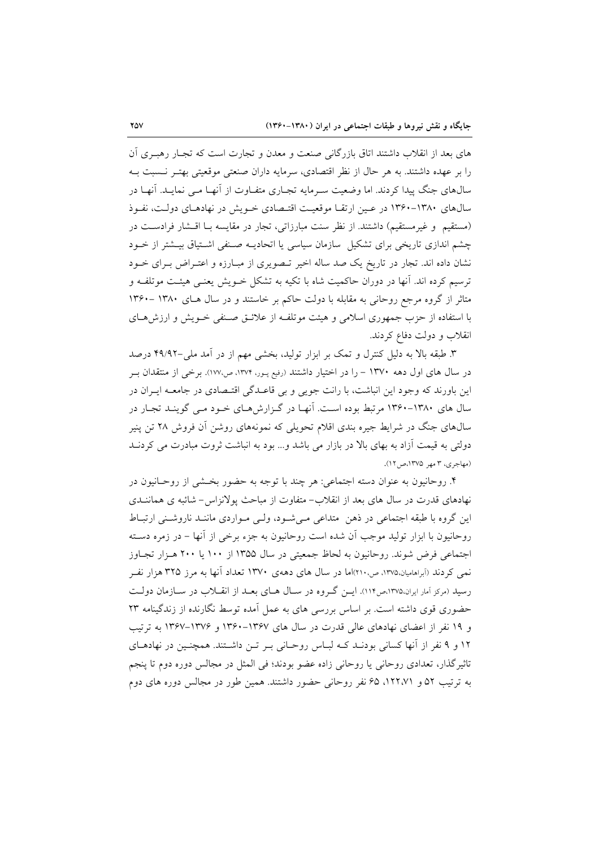های بعد از انقلاب داشتند اتاق بازرگانی صنعت و معدن و تجارت است که تجـار رهبـری اَن را بر عهده داشتند. به هر حال از نظر اقتصادی، سرمایه داران صنعتی موقعیتی بهتـر نــسبت بــه سالهای جنگ پیدا کردند. اما وضعیت سـرمایه تجـاری متفـاوت از آنهـا مـی نمایـد. آنهـا در سالهای ۱۳۸۰-۱۳۶۰ در عـین ارتقـا موقعیـت اقتـصادی خـویش در نهادهـای دولـت، نفـوذ (مستقيم و غيرمستقيم) داشتند. از نظر سنت مبارزاتي، تجار در مقايسه بـا اقــشار فرادسـت در چشم اندازی تاریخی برای تشکیل ً سازمان سیاسی یا اتحادیـه صـنفی اشـتیاق بیـشتر از خـود نشان داده اند. تجار در تاریخ یک صد ساله اخیر تـصویری از مبـارزه و اعتـراض بـرای خــود ترسیم کرده اند. آنها در دوران حاکمیت شاه با تکیه به تشکل خــویش یعنــی هیئــت موتلفــه و متاثر از گروه مرجع روحانی به مقابله با دولت حاکم بر خاستند و در سال هـای ۱۳۸۰ -۱۳۶۰ با استفاده از حزب جمهوری اسلامی و هیئت موتلف از علائتی صنفی خـویش و ارزش هـای انقلاب و دولت دفاع کردند.

۳. طبقه بالا به دلیل کنترل و تمک بر ابزار تولید، بخشی مهم از در آمد ملی-۴۹/۹۲ درصد در سال های اول دهه ۱۳۷۰ – را در اختیار داشتند (رفیع پـور، ۱۳۷۴، ص۱۷۷). برخی از منتقدان بـر این باورند که وجود این انباشت، با رانت جویی و بی قاعـدگی اقتـصادی در جامعــه ایــران در سال های ۱۳۸۰-۱۳۶۰ مرتبط بوده است. آنهـا در گـزارش هـای خـود مـی گوینـد تجـار در سال@ای جنگ در شرایط جیره بندی اقلام تحویلی که نمونههای روشن آن فروش ۲۸ تن پنیر دولتی به قیمت آزاد به بهای بالا در بازار می باشد و... بود به انباشت ثروت مبادرت می کردنـد (مهاجری، ۳ مهر ۱۳۷۵،ص ۱۲).

۴. روحانیون به عنوان دسته اجتماعی: هر چند با توجه به حضور بخـشی از روحـانیون در نهادهای قدرت در سال های بعد از انقلاب- متفاوت از مباحث پولانزاس- شائبه ی هماننــدی این گروه با طبقه اجتماعی در ذهن متداعی میشود، ولی مواردی ماننـد ناروشـنی ارتبـاط روحانیون با ابزار تولید موجب آن شده است روحانیون به جزء برخی از آنها – در زمره دسـته اجتماعی فرض شوند. روحانیون به لحاظ جمعیتی در سال ۱۳۵۵ از ۱۰۰ یا ۲۰۰ هـزار تجـاوز نمی کردند (اَبراهامیان،۱۳۷۵، ص۲۱۰)اما در سال های دههی ۱۳۷۰ تعداد اَنها به مرز ۳۲۵ هزار نفـر رسید (مرکز آمار ایران،۱۳۷۵،ص۱۱۴). ایس گروه در سیال هیای بعید از انقبلاب در سیازمان دولت حضوری قوی داشته است. بر اساس بررسی های به عمل آمده توسط نگارنده از زندگینامه ۲۳ و ۱۹ نفر از اعضای نهادهای عالمی قدرت در سال های ۱۳۶۷–۱۳۶۰ و ۱۳۷۶–۱۳۶۷ به ترتیب ۱۲ و ۹ نفر از آنها کسانی بودنـد کـه لبـاس روحـانی بـر تـن داشـتند. همچنـین در نهادهـای تاثیرِگذار، تعدادی روحانی یا روحانی زاده عضو بودند؛ فی المثل در مجالس دوره دوم تا پنجم به ترتیب ۵۲ و ۱۲۲،۷۱، ۶۵ نفر روحانی حضور داشتند. همین طور در مجالس دوره های دوم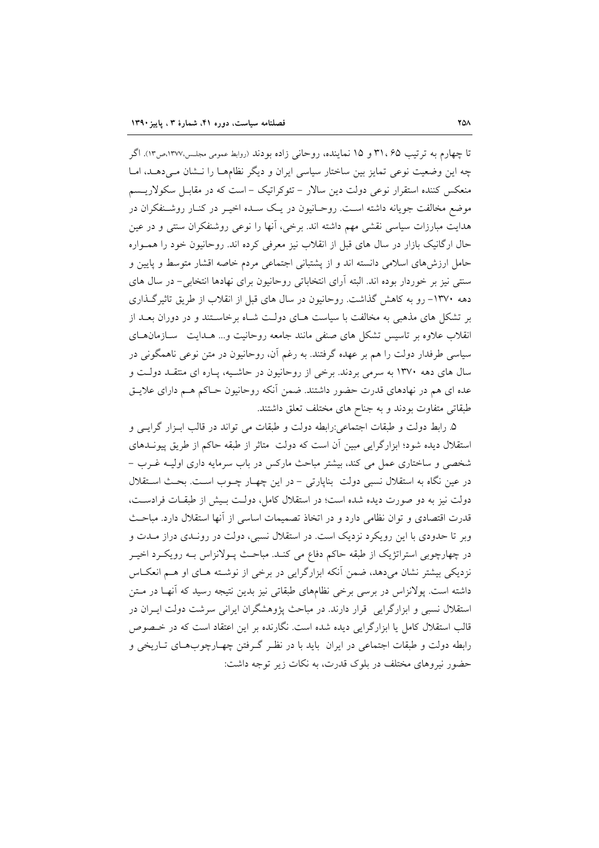تا چهارم به ترتیب ۳۱،۶۵ و ۱۵ نماینده، روحانی زاده بودند (روابط عمومی مجلس،۱۳۷۷،ص۱۳). اگر چه این وضعیت نوعی تمایز بین ساختار سیاسی ایران و دیگر نظامهـا را نــشان مــی دهــد، امــا منعکس کننده استقرار نوعی دولت دین سالار – تئوکراتیک – است که در مقابـل سکولاریــسم موضع مخالفت جویانه داشته است. روحـانیون در یـک سـده اخیـر در کنـار روشـنفکران در هدایت مبارزات سیاسی نقشی مهم داشته اند. برخی، آنها را نوعی روشنفکران سنتی و در عین حال ارگانیک بازار در سال های قبل از انقلاب نیز معرفی کرده اند. روحانیون خود را همـواره حامل ارزشهای اسلامی دانسته اند و از پشتبانی اجتماعی مردم خاصه اقشار متوسط و پایین و سنتی نیز بر خوردار بوده اند. البته آرای انتخاباتی روحانیون برای نهادها انتخابی- در سال های دهه ۱۳۷۰– رو به کاهش گذاشت. روحانیون در سال های قبل از انقلاب از طریق تاثیرگذاری بر تشکل های مذهبی به مخالفت با سیاست هـای دولـت شـاه برخاسـتند و در دوران بعــد از انقلاب علاوه بر تاسیس تشکل های صنفی مانند جامعه روحانیت و… هــدایت \_ســازمان هــای سیاسی طرفدار دولت را هم بر عهده گرفتند. به رغم أن، روحانیون در متن نوعی ناهمگونی در سال های دهه ۱۳۷۰ به سرمی بردند. برخی از روحانیون در حاشـیه، پـاره ای منتقـد دولـت و عده ای هم در نهادهای قدرت حضور داشتند. ضمن آنکه روحانیون حـاکم هــم دارای علایــق طبقاتی متفاوت بودند و به جناح های مختلف تعلق داشتند.

۵. رابط دولت و طبقات اجتماعی:رابطه دولت و طبقات می تواند در قالب ابـزار گرایـی و استقلال دیده شود؛ ابزارگرایی مبین آن است که دولت متاثر از طبقه حاکم از طریق پیونـدهای شخصی و ساختاری عمل می کند، بیشتر مباحث مارکس در باب سرمایه داری اولیـه غــرب – در عین نگاه به استقلال نسبی دولت بناپارتی - در این چهار چـوب اسـت. بحـث اسـتقلال دولت نیز به دو صورت دیده شده است؛ در استقلال کامل، دولت بـیش از طبقـات فرادسـت، قدرت اقتصادی و توان نظامی دارد و در اتخاذ تصمیمات اساسی از آنها استقلال دارد. مباحث وبر تا حدودی با این رویکرد نزدیک است. در استقلال نسبی، دولت در رونـدی دراز مـدت و در چهارچوبی استراتژیک از طبقه حاکم دفاع می کنـد. مباحـث پـولانزاس بـه رویکـرد اخیـر نزدیکی بیشتر نشان میدهد، ضمن آنکه ابزارگرایی در برخی از نوشـته هـای او هـم انعکـاس داشته است. پولانزاس در برسی برخی نظامهای طبقاتی نیز بدین نتیجه رسید که آنهـا در مـتن استقلال نسبی و ابزارگرایی قرار دارند. در مباحث پژوهشگران ایرانی سرشت دولت ایـران در قالب استقلال کامل یا ابزارگرایی دیده شده است. نگارنده بر این اعتقاد است که در خـصوص رابطه دولت و طبقات اجتماعی در ایران باید با در نظـر گـرفتن چهـارچوبهـای تـاریخی و حضور نیروهای مختلف در بلوک قدرت، به نکات زیر توجه داشت: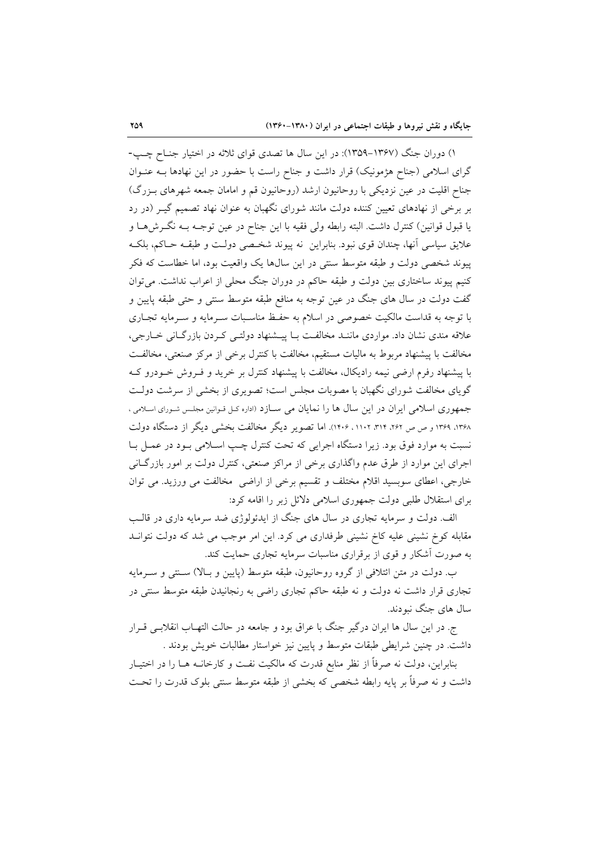۱) دوران جنگ (۱۳۶۷–۱۳۵۹): در این سال ها تصدی قوای ثلاثه در اختیار جنـاح چـب-گرای اسلامی (جناح هژمونیک) قرار داشت و جناح راست با حضور در این نهادها بـه عنـوان جناح اقلیت در عین نزدیکی با روحانیون ارشد (روحانیون قم و امامان جمعه شهرهای بـزرگ) بر برخی از نهادهای تعیین کننده دولت مانند شورای نگهبان به عنوان نهاد تصمیم گیـر (در رد يا قبول قوانين) كنترل داشت. البته رابطه ولي فقيه با اين جناح در عين توجـه بـه نگـرشهـا و علايق سياسي أنها، چندان قوى نبود. بنابراين نه پيوند شخـصي دولـت و طبقــه حــاكم، بلكــه پیوند شخصی دولت و طبقه متوسط سنتی در این سال۵ا یک واقعیت بود، اما خطاست که فکر کنیم پیوند ساختاری بین دولت و طبقه حاکم در دوران جنگ محلی از اعراب نداشت. می توان گفت دولت در سال های جنگ در عین توجه به منافع طبقه متوسط سنتی و حتی طبقه پایین و با توجه به قداست مالکیت خصوصی در اسلام به حفظ مناسبات سـرمایه و سـرمایه تجـاری علاقه مندی نشان داد. مواردی ماننـد مخالفـت بـا پیــشنهاد دولتــی کـردن بازرگـانی خــارجی، مخالفت با پیشنهاد مربوط به مالیات مستقیم، مخالفت با کنترل برخی از مرکز صنعتی، مخالفت با پیشنهاد رفرم ارضی نیمه رادیکال، مخالفت با پیشنهاد کنترل بر خرید و فـروش خـودرو کـه گویای مخالفت شورای نگهبان با مصوبات مجلس است؛ تصویری از بخشی از سرشت دولت جمهوری اسلامی ایران در این سال ها را نمایان می سازد (اداره کل قوانین مجلس شورای اسلامی ، ۱۳۶۸، ۱۳۶۹ و ص ص ۲۶۲، ۳۱۲، ۲۰۱۲، ۱۴۰۶). اما تصویر دیگر مخالفت بخشی دیگر از دستگاه دولت نسبت به موارد فوق بود. زیرا دستگاه اجرایی که تحت کنترل چـب اسـلامی بـود در عمـل بـا اجرای این موارد از طرق عدم واگذاری برخی از مراکز صنعتی، کنترل دولت بر امور بازرگـانی خارجي، اعطاي سوبسيد اقلام مختلف و تقسيم برخي از اراضي مخالفت مي ورزيد. مي توان برای استقلال طلبی دولت جمهوری اسلامی دلائل زبر را اقامه کرد:

الف. دولت و سرمایه تجاری در سال های جنگ از ایدئولوژی ضد سرمایه داری در قالب مقابله کوخ نشینی علیه کاخ نشینی طرفداری می کرد. این امر موجب می شد که دولت نتوانـد به صورت آشکار و قوی از برقراری مناسبات سرمایه تجاری حمایت کند.

ب. دولت در متن ائتلافی از گروه روحانیون، طبقه متوسط (پایین و بـالا) سـنتی و سـرمایه تجاری قرار داشت نه دولت و نه طبقه حاکم تجاری راضی به رنجانیدن طبقه متوسط سنتی در سال های جنگ نبودند.

ج. در این سال ها ایران درگیر جنگ با عراق بود و جامعه در حالت التهـاب انقلابـی قـرار داشت. در چنین شرایطی طبقات متوسط و پایین نیز خواستار مطالبات خویش بودند .

بنابراین، دولت نه صرفاً از نظر منابع قدرت که مالکیت نفـت و کارخانــه هــا را در اختیــار داشت و نه صرفاً بر پایه رابطه شخصی که بخشی از طبقه متوسط سنتی بلوک قدرت را تحـت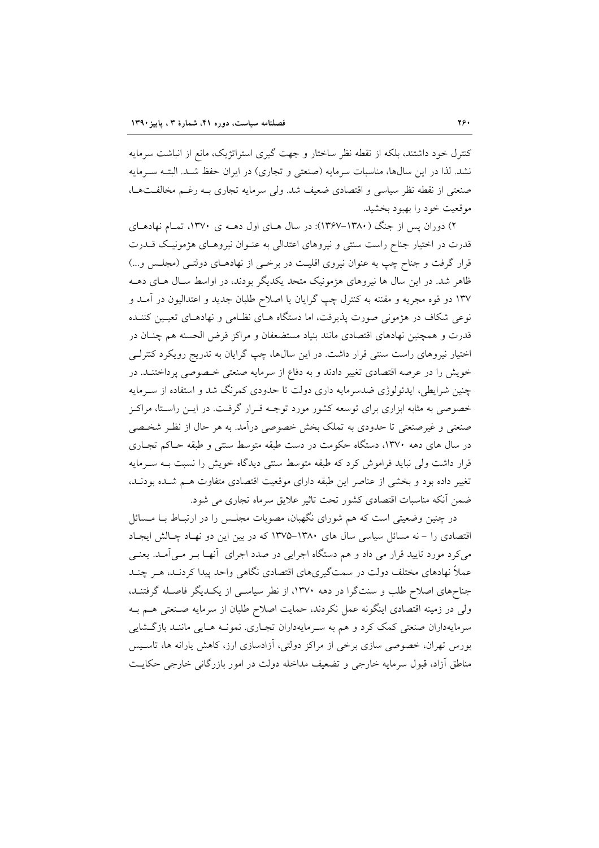کنترل خود داشتند، بلکه از نقطه نظر ساختار و جهت گیری استراتژیک، مانع از انباشت سرمایه نشد. لذا در این سالها، مناسبات سرمایه (صنعتی و تجاری) در ایران حفظ شـد. البتـه سـرمایه صنعتی از نقطه نظر سیاسی و اقتصادی ضعیف شد. ولی سرمایه تجاری بـه رغـم مخالفـتهـا، موقعيت خود را بهبود بخشيد.

۲) دوران پس از جنگ (۱۳۸۰–۱۳۶۷): در سال هـای اول دهــه ی ۱۳۷۰، تمـام نهادهـای قدرت در اختیار جناح راست سنتی و نیروهای اعتدالی به عنـوان نیروهـای هژمونیـک قــدرت قرار گرفت و جناح چپ به عنوان نیروی اقلیت در برخمی از نهادهـای دولتـی (مجلـس و…) ظاهر شد. در این سال ها نیروهای هژمونیک متحد یکدیگر بودند، در اواسط سـال هـای دهــه ۱۳۷ دو قوه مجریه و مقننه به کنترل چپ گرایان یا اصلاح طلبان جدید و اعتدالیون در آمـد و نوعی شکاف در هژمونی صورت پذیرفت، اما دستگاه هـای نظـامی و نهادهـای تعیـین کننـده قدرت و همچنین نهادهای اقتصادی مانند بنیاد مستضعفان و مراکز قرض الحسنه هم چنـان در اختیار نیروهای راست سنتی قرار داشت. در این سالها، چپ گرایان به تدریج رویکرد کنترلـی خویش را در عرصه اقتصادی تغییر دادند و به دفاع از سرمایه صنعتی خـصوصی پرداختنـد. در چنین شرایطی، ایدئولوژی ضدسرمایه داری دولت تا حدودی کمرنگ شد و استفاده از سـرمایه خصوصی به مثابه ابزاری برای توسعه کشور مورد توجـه قـرار گرفـت. در ایــن راسـتا، مراکــز صنعتی و غیرصنعتی تا حدودی به تملک بخش خصوصی درآمد. به هر حال از نظـر شخـصی در سال های دهه ۱۳۷۰، دستگاه حکومت در دست طبقه متوسط سنتی و طبقه حـاکم تجـاری قرار داشت ولی نباید فراموش کرد که طبقه متوسط سنتی دیدگاه خویش را نسبت بـه سـرمایه تغییر داده بود و بخشی از عناصر این طبقه دارای موقعیت اقتصادی متفاوت هـم شـده بودنـد، ضمن أنكه مناسبات اقتصادى كشور تحت تاثير علايق سرماه تجارى مى شود.

در چنین وضعیتی است که هم شورای نگهبان، مصوبات مجلـس را در ارتبـاط بـا مـسائل اقتصادی را – نه مسائل سیاسی سال های ۱۳۸۰–۱۳۷۵ که در بین این دو نهاد چـالش ایجـاد می کرد مورد تایید قرار می داد و هم دستگاه اجرایی در صدد اجرای آنهـا بـر مـیآمـد. یعنـی عملاً نهادهای مختلف دولت در سمتگیریهای اقتصادی نگاهی واحد پیدا کردنـد، هـر چنـد جناحهای اصلاح طلب و سنتگرا در دهه ۱۳۷۰، از نطر سیاسی از یک دیگر فاصله گرفتند. ولی در زمینه اقتصادی اینگونه عمل نکردند، حمایت اصلاح طلبان از سرمایه صنعتی هـم بـه سرمایهداران صنعتی کمک کرد و هم به سـرمایهداران تجـاری. نمونــه هـایی ماننــد بازگــشایی بورس تهران، خصوصی سازی برخی از مراکز دولتی، آزادسازی ارز، کاهش پارانه ها، تاسـیس مناطق أزاد، قبول سرمايه خارجي و تضعيف مداخله دولت در امور بازرگاني خارجي حكايت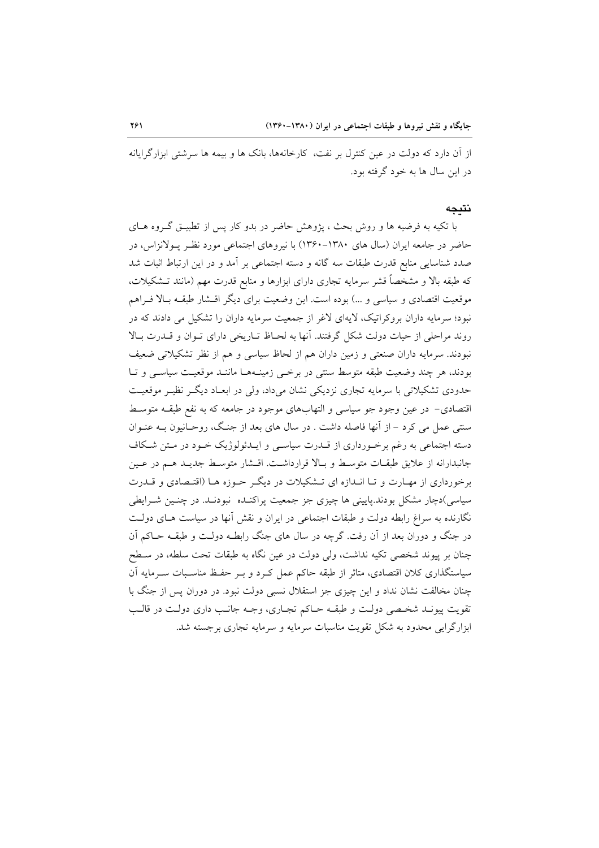از آن دارد که دولت در عین کنترل بر نفت، کارخانهها، بانک ها و بیمه ها سرشتی ابزارگرایانه در این سال ها به خود گرفته بود.

#### نتىحە

با تکیه به فرضیه ها و روش بحث ، پژوهش حاضر در بدو کار پس از تطبیــق گــروه هــای حاضر در جامعه ایران (سال های ۱۳۸۰–۱۳۶۰) با نیروهای اجتماعی مورد نظر پـولانزاس، در صدد شناسایی منابع قدرت طبقات سه گانه و دسته اجتماعی بر آمد و در این ارتباط اثبات شد که طبقه بالا و مشخصاً قشر سرمایه تجاری دارای ابزارها و منابع قدرت مهم (مانند تــشکیلات، موقعیت اقتصادی و سیاسی و …) بوده است. این وضعیت برای دیگر اقــشار طبقــه بــالا فــراهم نبود؛ سرمایه داران بروکراتیک، لایهای لاغر از جمعیت سرمایه داران را تشکیل می دادند که در روند مراحلي از حيات دولت شكل گرفتند. آنها به لحـاظ تـاريخي داراي تـوان و قــدرت بـالا نبودند. سرمایه داران صنعتی و زمین داران هم از لحاظ سیاسی و هم از نظر تشکیلاتی ضعیف بودند، هر چند وضعیت طبقه متوسط سنتی در برخبی زمینـههـا ماننـد موقعیـت سیاسـی و تـا حدودی تشکیلاتی با سرمایه تجاری نزدیکی نشان میداد، ولی در ابعـاد دیگـر نظیـر موقعیـت اقتصادی– در عین وجود جو سیاسی و التهابهای موجود در جامعه که به نفع طبقـه متوسـط سنتی عمل می کرد - از آنها فاصله داشت . در سال های بعد از جنگ، روحـانیون بـه عنـوان دسته اجتماعی به رغم برخـورداری از قــدرت سیاسـی و ایــدئولوژیک خــود در مـتن شـکاف جانبدارانه از علایق طبقـات متوسـط و بـالا قرارداشـت. اقـشار متوسـط جديـد هـم در عـين برخورداری از مهـارت و تـا انـدازه ای تـشکیلات در دیگـر حـوزه هـا (اقتـصادی و قــدرت سیاسی)دچار مشکل بودند.پایینی ها چیزی جز جمعیت پراکنـده نبودنـد. در چنـین شـرایطی نگارنده به سراغ رابطه دولت و طبقات اجتماعی در ایران و نقش آنها در سیاست هـای دولـت در جنگ و دوران بعد از آن رفت. گرچه در سال های جنگ رابطـه دولـت و طبقــه حــاکم آن چنان بر پیوند شخصی تکیه نداشت، ولی دولت در عین نگاه به طبقات تحت سلطه، در سـطح سیاستگذاری کلان اقتصادی، متاثر از طبقه حاکم عمل کـرد و بـر حفـظ مناسـبات سـرمایه آن چنان مخالفت نشان نداد و این چیزی جز استقلال نسبی دولت نبود. در دوران پس از جنگ با تقويت پيونـد شخـصي دولـت و طبقــه حــاكم تجــاري، وجــه جانـب داري دولـت در قالـب ابزارگرایی محدود به شکل تقویت مناسبات سرمایه و سرمایه تجاری برجسته شد.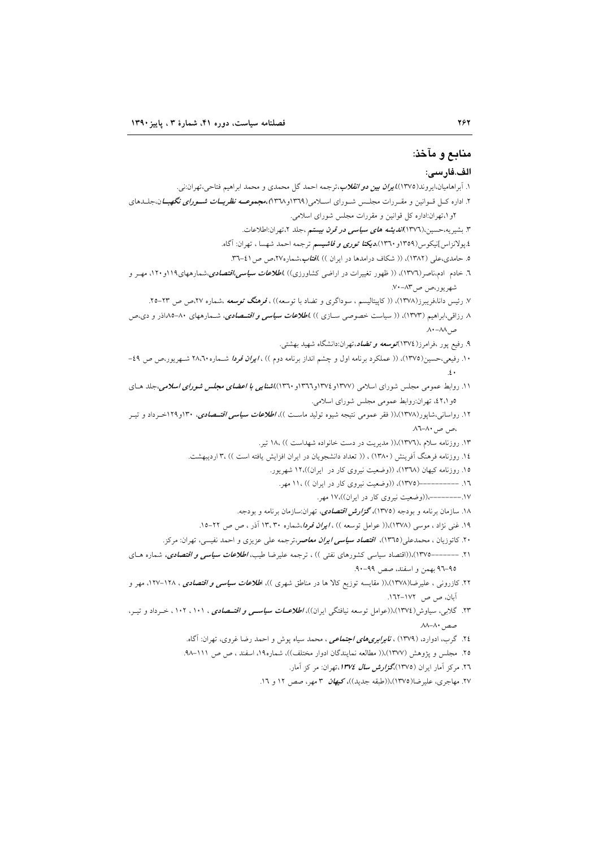# منابع و مآخذ:

#### الف.فار سے:

۱. آبراهامیان،ایروند(۱۳۷۵)،*ایران بین دو انقلاب،ت*رجمه احمد گل محمدی و محمد ابراهیم فتاحی،تهران:نی. ۲. اداره کـل قـوانین و مقـررات مجلـس شـورای اسـلامی(۱۳۶۹و۱۳۲۸)،مجم*وعــه نظریــات شــورای نگهبــا*ن،جلــدهای ٢و ١،تهران:اداره كل قوانين و مقررات مجلس شوراي اسلامي. ۳. بشیریه،حسین،(۱۳۷٦)*اندیشه های سیاسی در قرن بیستم* ،جلد ۲،تهران:اطلاعات. ٤.پولانزاس]نيكوس(١٣٥٩و ١٣٦٠)،**ديكت***ا توري و فاشيسم* ترجمه احمد شهسا ، تهران: آگاه. ۵. حامدی،عل<sub>ی</sub> (۱۳۸۲)، (( شکاف درامدها در ایران )) *،افتاب*،شماره۲۷،ص ص1۰-۳۳. ٦. خادم ۱دم،ناصر(۱۳۷٦)، (( ظهور تغییرات در اراضی کشاورزی)) *،اطلاعات سیاسی،اقتصادی،شمارههای۱۹*۱۹و۱۲۰، مهـر و شهريور،ص ص١٣-٧٠. ۷. رئیس دانا،فریبرز(۱۳۷۸)، (( کاپیتالیسم ، سوداگری و تضاد با توسعه)) ، **فر***هنگ توسعه* ،شماره ۲۷،ص ص ۲۳–۲۵. ۸ رزاقی،ابواهیم (۱۳۷۳)، (( سیاست خصوصی سـازی )) *،اطلاعات سیاسی و اقتــصادی*، شــمارههای ۸۰–۸۵داذر و دی.ص ص ٨٨-٨٨. ۹. رفیع پور ،فرامرز(١٣٧٤)*توسعه و تضاد*،تهران:دانشگاه شهید بهشتی. ۱۰. رفیعی،حسین(۱۳۷۵)، (( عملکرد برنامه اول و چشم انداز برنامه دوم )) ، *ایران فردا* شـماره ۲۸٬۲۰ شـهریور،ص ص ٤٩-۱۱. روابط عمومی مجلس شورای اسلامی (۱۳۷۷و ۱۳۷٤و۱۳٦۲و ۱۳٦۰))*اشن<i>ایی با اعضای مجلس شورای اسلامی،*جلد هـای ٥و ٤٢،١، تهران:روابط عمومي مجلس شوراي اسلامي. ۱۲. رواسانی،شایور(۱۳۷۸)،(( فقر عمومی نتیجه شیوه تولید ماسـت ))، *اطلاعات سیاسی اقتــصادی***، ۱**۳۰و۲۱۹خــرداد و تیــر ،ص ص ۸۰-۸۱. ۱۳. روزنامه سلام ،(۱۳۷٦)،(( مدیریت در دست خانواده شهداست )) ۱۸، تیر. ١٤. روزنامه فرهنگ آفرینش (١٣٨٠) ، (( تعداد دانشجویان در ایران افزایش یافته است )) ،٣ اردیبهشت. ١٥. روزنامه كيهان (١٣٦٨)، ((وضعيت نيروي كار در ايران))،١٢ شهريور. ١٦. ----------(١٣٧٥)، ((وضعيت نيروي كار در ايران )) ١١، مهر. ١٧.---------)((وضعیت نیروی کار در ایران))،١٧ مهر. ۱۸. سازمان برنامه و بودجه (۱۳۷۵)،گز*ارش اقتصادی،* تهران:سازمان برنامه و بودجه. ۱۹. غنی نژاد ، موسی (۱۳۷۸)،(( عوامل توسعه )) ، *ایران فردا،ش*ماره ۱۳،۳۰ آذر ، ص ص ۲۲-۱۵. ۲۰. کاتوزیان ، محمدعلی(۱۳۹۵)، *اقتصاد سیاسی ایران معاصر،ترجمه علی عزیزی و احمد نفیسی، تهران: م*رکز. ۲۱. ––––––۱۳۷۵)،((اقتصاد سیاسی کشورهای نفتی )) ، ترجمه علیرضا طیب*، اطلاعات سیاسی و اقتصادی،* شماره هـای ٩٥-٩٦ بهمن واسفند، صص ٩٩-٩٠. ۲۲. کازرون<sub>ی</sub> ، علیرضا(۱۳۷۸)،(( مقایسه توزیع کالا ها در مناطق شهری ))، ا*طلاعات سیاسی و اقتصادی ،* ۱۲۸–۱۲۷، مهر و آبان، ص ص ۲۷۲–۱۳۲. ۲۳. گلابی، سیاوش(۱۳۷٤)،((عوامل توسعه نیافتگی ایران))، *اطلاعــات سیاســی و اقتــصادی* ، ۱۰۱ ، ۱۰۲ ، خـرداد و تیــر، صص ۸۰–۸۸ ۲٤. گرب، ادوارد، (۱۳۷۹) ، *نابرابریهای اجتماعی* ، محمد سیاه پوش و احمد رضا غروی، تهران: آگاه. ٢٥. مجلس و يژوهش (١٣٧٧)،(( مطالعه نمايندگان ادوار مختلف))، شماره١٩، اسفند ، ص ص ١١١-٩٨. ۲٦. مرکز آمار ایران (١٣٧٥)،*گزارش سال ۱۳۷٤*،تهران: مرکز آمار. ۲۷. مهاجری، علیرضا(۱۳۷۵)،((طبقه جدید))، کی*هان* ۳ مهر، صص ۱۲ و ۱۲.